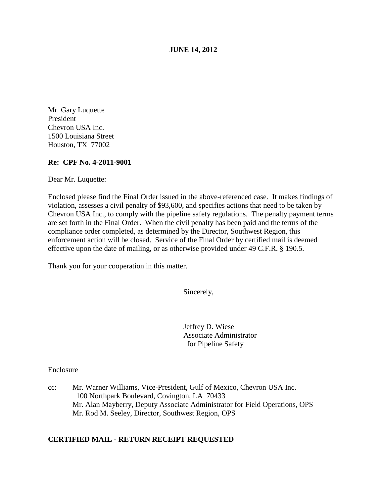**JUNE 14, 2012**

Mr. Gary Luquette President Chevron USA Inc. 1500 Louisiana Street Houston, TX 77002

# **Re: CPF No. 4-2011-9001**

Dear Mr. Luquette:

Enclosed please find the Final Order issued in the above-referenced case. It makes findings of violation, assesses a civil penalty of \$93,600, and specifies actions that need to be taken by Chevron USA Inc., to comply with the pipeline safety regulations. The penalty payment terms are set forth in the Final Order. When the civil penalty has been paid and the terms of the compliance order completed, as determined by the Director, Southwest Region, this enforcement action will be closed. Service of the Final Order by certified mail is deemed effective upon the date of mailing, or as otherwise provided under 49 C.F.R. § 190.5.

Thank you for your cooperation in this matter.

Sincerely,

Jeffrey D. Wiese Associate Administrator for Pipeline Safety

Enclosure

cc: Mr. Warner Williams, Vice-President, Gulf of Mexico, Chevron USA Inc. 100 Northpark Boulevard, Covington, LA 70433 Mr. Alan Mayberry, Deputy Associate Administrator for Field Operations, OPS Mr. Rod M. Seeley, Director, Southwest Region, OPS

# **CERTIFIED MAIL - RETURN RECEIPT REQUESTED**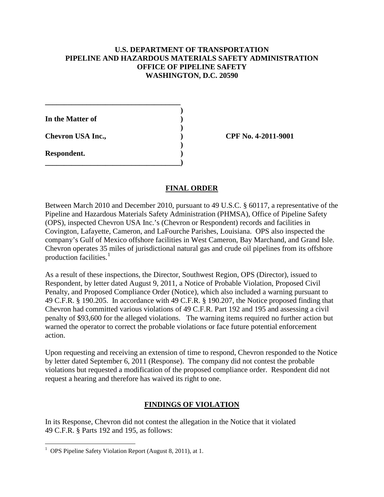# **U.S. DEPARTMENT OF TRANSPORTATION PIPELINE AND HAZARDOUS MATERIALS SAFETY ADMINISTRATION OFFICE OF PIPELINE SAFETY WASHINGTON, D.C. 20590**

**)**

**)**

**)**

**In the Matter of ) Chevron USA Inc., ) CPF No. 4-2011-9001 Respondent. )**

**\_\_\_\_\_\_\_\_\_\_\_\_\_\_\_\_\_\_\_\_\_\_\_\_\_\_\_\_\_\_\_\_\_\_\_\_)**

**\_\_\_\_\_\_\_\_\_\_\_\_\_\_\_\_\_\_\_\_\_\_\_\_\_\_\_\_\_\_\_\_\_\_\_\_**

# **FINAL ORDER**

Between March 2010 and December 2010, pursuant to 49 U.S.C. § 60117, a representative of the Pipeline and Hazardous Materials Safety Administration (PHMSA), Office of Pipeline Safety (OPS), inspected Chevron USA Inc.'s (Chevron or Respondent) records and facilities in Covington, Lafayette, Cameron, and LaFourche Parishes, Louisiana. OPS also inspected the company's Gulf of Mexico offshore facilities in West Cameron, Bay Marchand, and Grand Isle. Chevron operates 35 miles of jurisdictional natural gas and crude oil pipelines from its offshore production facilities. [1](#page-1-0)

As a result of these inspections, the Director, Southwest Region, OPS (Director), issued to Respondent, by letter dated August 9, 2011, a Notice of Probable Violation, Proposed Civil Penalty, and Proposed Compliance Order (Notice), which also included a warning pursuant to 49 C.F.R. § 190.205. In accordance with 49 C.F.R. § 190.207, the Notice proposed finding that Chevron had committed various violations of 49 C.F.R. Part 192 and 195 and assessing a civil penalty of \$93,600 for the alleged violations. The warning items required no further action but warned the operator to correct the probable violations or face future potential enforcement action.

Upon requesting and receiving an extension of time to respond, Chevron responded to the Notice by letter dated September 6, 2011 (Response). The company did not contest the probable violations but requested a modification of the proposed compliance order. Respondent did not request a hearing and therefore has waived its right to one.

# **FINDINGS OF VIOLATION**

In its Response, Chevron did not contest the allegation in the Notice that it violated 49 C.F.R. § Parts 192 and 195, as follows:

<span id="page-1-0"></span> $\frac{1}{1}$ <sup>1</sup> OPS Pipeline Safety Violation Report (August 8, 2011), at 1.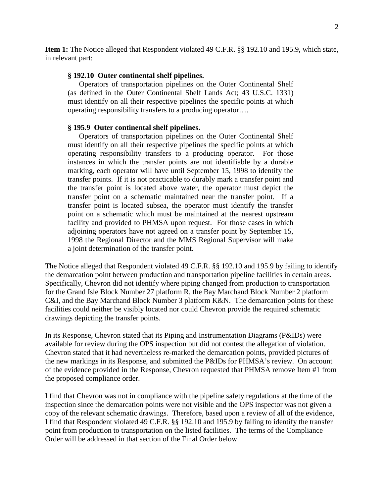**Item 1:** The Notice alleged that Respondent violated 49 C.F.R. §§ 192.10 and 195.9, which state, in relevant part:

### **§ 192.10 Outer continental shelf pipelines.**

Operators of transportation pipelines on the Outer Continental Shelf (as defined in the Outer Continental Shelf Lands Act; 43 U.S.C. 1331) must identify on all their respective pipelines the specific points at which operating responsibility transfers to a producing operator….

### **§ 195.9 Outer continental shelf pipelines.**

Operators of transportation pipelines on the Outer Continental Shelf must identify on all their respective pipelines the specific points at which operating responsibility transfers to a producing operator. For those instances in which the transfer points are not identifiable by a durable marking, each operator will have until September 15, 1998 to identify the transfer points. If it is not practicable to durably mark a transfer point and the transfer point is located above water, the operator must depict the transfer point on a schematic maintained near the transfer point. If a transfer point is located subsea, the operator must identify the transfer point on a schematic which must be maintained at the nearest upstream facility and provided to PHMSA upon request. For those cases in which adjoining operators have not agreed on a transfer point by September 15, 1998 the Regional Director and the MMS Regional Supervisor will make a joint determination of the transfer point.

The Notice alleged that Respondent violated 49 C.F.R. §§ 192.10 and 195.9 by failing to identify the demarcation point between production and transportation pipeline facilities in certain areas. Specifically, Chevron did not identify where piping changed from production to transportation for the Grand Isle Block Number 27 platform R, the Bay Marchand Block Number 2 platform C&I, and the Bay Marchand Block Number 3 platform K&N. The demarcation points for these facilities could neither be visibly located nor could Chevron provide the required schematic drawings depicting the transfer points.

In its Response, Chevron stated that its Piping and Instrumentation Diagrams (P&IDs) were available for review during the OPS inspection but did not contest the allegation of violation. Chevron stated that it had nevertheless re-marked the demarcation points, provided pictures of the new markings in its Response, and submitted the P&IDs for PHMSA's review. On account of the evidence provided in the Response, Chevron requested that PHMSA remove Item #1 from the proposed compliance order.

I find that Chevron was not in compliance with the pipeline safety regulations at the time of the inspection since the demarcation points were not visible and the OPS inspector was not given a copy of the relevant schematic drawings. Therefore, based upon a review of all of the evidence, I find that Respondent violated 49 C.F.R. §§ 192.10 and 195.9 by failing to identify the transfer point from production to transportation on the listed facilities. The terms of the Compliance Order will be addressed in that section of the Final Order below.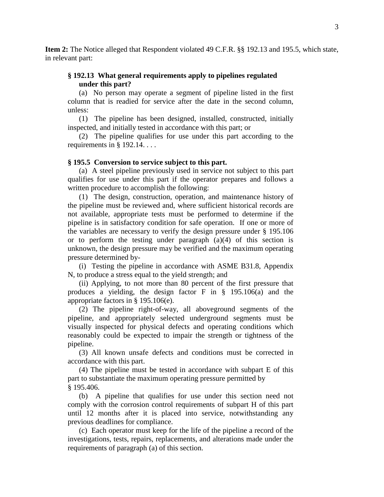**Item 2:** The Notice alleged that Respondent violated 49 C.F.R. §§ 192.13 and 195.5, which state, in relevant part:

# **§ 192.13 What general requirements apply to pipelines regulated under this part?**

(a) No person may operate a segment of pipeline listed in the first column that is readied for service after the date in the second column, unless:

(1) The pipeline has been designed, installed, constructed, initially inspected, and initially tested in accordance with this part; or

(2) The pipeline qualifies for use under this part according to the requirements in  $\S$  192.14. . . .

### **§ 195.5 Conversion to service subject to this part.**

(a) A steel pipeline previously used in service not subject to this part qualifies for use under this part if the operator prepares and follows a written procedure to accomplish the following:

(1) The design, construction, operation, and maintenance history of the pipeline must be reviewed and, where sufficient historical records are not available, appropriate tests must be performed to determine if the pipeline is in satisfactory condition for safe operation. If one or more of the variables are necessary to verify the design pressure under § 195.106 or to perform the testing under paragraph  $(a)(4)$  of this section is unknown, the design pressure may be verified and the maximum operating pressure determined by-

(i) Testing the pipeline in accordance with ASME B31.8, Appendix N, to produce a stress equal to the yield strength; and

(ii) Applying, to not more than 80 percent of the first pressure that produces a yielding, the design factor F in § 195.106(a) and the appropriate factors in § 195.106(e).

(2) The pipeline right-of-way, all aboveground segments of the pipeline, and appropriately selected underground segments must be visually inspected for physical defects and operating conditions which reasonably could be expected to impair the strength or tightness of the pipeline.

(3) All known unsafe defects and conditions must be corrected in accordance with this part.

(4) The pipeline must be tested in accordance with subpart E of this part to substantiate the maximum operating pressure permitted by § 195.406.

(b) A pipeline that qualifies for use under this section need not comply with the corrosion control requirements of subpart H of this part until 12 months after it is placed into service, notwithstanding any previous deadlines for compliance.

(c) Each operator must keep for the life of the pipeline a record of the investigations, tests, repairs, replacements, and alterations made under the requirements of paragraph (a) of this section.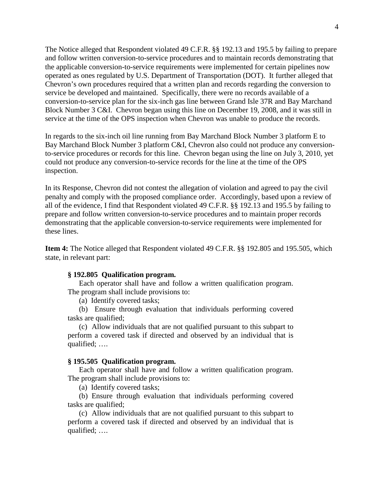The Notice alleged that Respondent violated 49 C.F.R. §§ 192.13 and 195.5 by failing to prepare and follow written conversion-to-service procedures and to maintain records demonstrating that the applicable conversion-to-service requirements were implemented for certain pipelines now operated as ones regulated by U.S. Department of Transportation (DOT). It further alleged that Chevron's own procedures required that a written plan and records regarding the conversion to service be developed and maintained. Specifically, there were no records available of a conversion-to-service plan for the six-inch gas line between Grand Isle 37R and Bay Marchand Block Number 3 C&I. Chevron began using this line on December 19, 2008, and it was still in service at the time of the OPS inspection when Chevron was unable to produce the records.

In regards to the six-inch oil line running from Bay Marchand Block Number 3 platform E to Bay Marchand Block Number 3 platform C&I, Chevron also could not produce any conversionto-service procedures or records for this line. Chevron began using the line on July 3, 2010, yet could not produce any conversion-to-service records for the line at the time of the OPS inspection.

In its Response, Chevron did not contest the allegation of violation and agreed to pay the civil penalty and comply with the proposed compliance order. Accordingly, based upon a review of all of the evidence, I find that Respondent violated 49 C.F.R. §§ 192.13 and 195.5 by failing to prepare and follow written conversion-to-service procedures and to maintain proper records demonstrating that the applicable conversion-to-service requirements were implemented for these lines.

**Item 4:** The Notice alleged that Respondent violated 49 C.F.R. §§ 192.805 and 195.505, which state, in relevant part:

#### **§ 192.805 Qualification program.**

Each operator shall have and follow a written qualification program. The program shall include provisions to:

(a) Identify covered tasks;

(b) Ensure through evaluation that individuals performing covered tasks are qualified;

(c) Allow individuals that are not qualified pursuant to this subpart to perform a covered task if directed and observed by an individual that is qualified; ….

#### **§ 195.505 Qualification program.**

Each operator shall have and follow a written qualification program. The program shall include provisions to:

(a) Identify covered tasks;

(b) Ensure through evaluation that individuals performing covered tasks are qualified;

(c) Allow individuals that are not qualified pursuant to this subpart to perform a covered task if directed and observed by an individual that is qualified; ….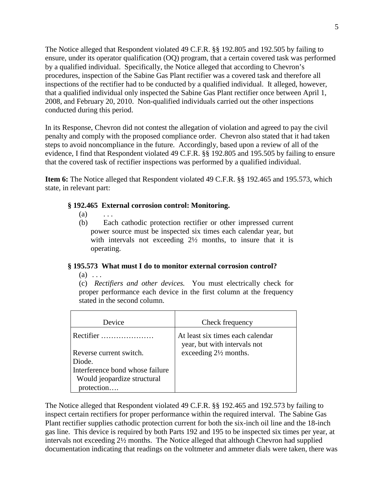The Notice alleged that Respondent violated 49 C.F.R. §§ 192.805 and 192.505 by failing to ensure, under its operator qualification (OQ) program, that a certain covered task was performed by a qualified individual. Specifically, the Notice alleged that according to Chevron's procedures, inspection of the Sabine Gas Plant rectifier was a covered task and therefore all inspections of the rectifier had to be conducted by a qualified individual. It alleged, however, that a qualified individual only inspected the Sabine Gas Plant rectifier once between April 1, 2008, and February 20, 2010. Non-qualified individuals carried out the other inspections conducted during this period.

In its Response, Chevron did not contest the allegation of violation and agreed to pay the civil penalty and comply with the proposed compliance order. Chevron also stated that it had taken steps to avoid noncompliance in the future. Accordingly, based upon a review of all of the evidence, I find that Respondent violated 49 C.F.R. §§ 192.805 and 195.505 by failing to ensure that the covered task of rectifier inspections was performed by a qualified individual.

**Item 6:** The Notice alleged that Respondent violated 49 C.F.R. §§ 192.465 and 195.573, which state, in relevant part:

# **§ 192.465 External corrosion control: Monitoring.**

- $(a)$  ...
- (b) Each cathodic protection rectifier or other impressed current power source must be inspected six times each calendar year, but with intervals not exceeding  $2\frac{1}{2}$  months, to insure that it is operating.

# **§ 195.573 What must I do to monitor external corrosion control?**

 $(a) \ldots$ 

(c) *Rectifiers and other devices.* You must electrically check for proper performance each device in the first column at the frequency stated in the second column.

| Device                                    | Check frequency                                                  |
|-------------------------------------------|------------------------------------------------------------------|
| Rectifier $\ldots$                        | At least six times each calendar<br>year, but with intervals not |
| Reverse current switch.                   | exceeding $2\frac{1}{2}$ months.                                 |
| Diode.<br>Interference bond whose failure |                                                                  |
| Would jeopardize structural               |                                                                  |
| protection                                |                                                                  |

The Notice alleged that Respondent violated 49 C.F.R. §§ 192.465 and 192.573 by failing to inspect certain rectifiers for proper performance within the required interval. The Sabine Gas Plant rectifier supplies cathodic protection current for both the six-inch oil line and the 18-inch gas line. This device is required by both Parts 192 and 195 to be inspected six times per year, at intervals not exceeding 2½ months. The Notice alleged that although Chevron had supplied documentation indicating that readings on the voltmeter and ammeter dials were taken, there was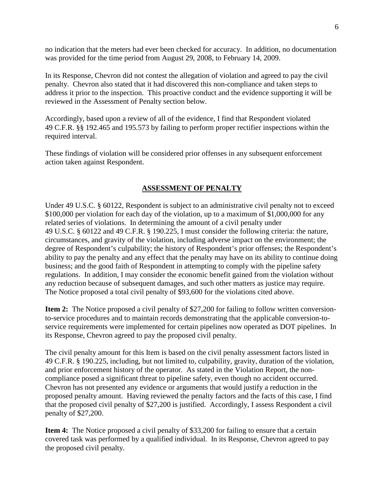no indication that the meters had ever been checked for accuracy. In addition, no documentation was provided for the time period from August 29, 2008, to February 14, 2009.

In its Response, Chevron did not contest the allegation of violation and agreed to pay the civil penalty. Chevron also stated that it had discovered this non-compliance and taken steps to address it prior to the inspection. This proactive conduct and the evidence supporting it will be reviewed in the Assessment of Penalty section below.

Accordingly, based upon a review of all of the evidence, I find that Respondent violated 49 C.F.R. §§ 192.465 and 195.573 by failing to perform proper rectifier inspections within the required interval.

These findings of violation will be considered prior offenses in any subsequent enforcement action taken against Respondent.

# **ASSESSMENT OF PENALTY**

Under 49 U.S.C. § 60122, Respondent is subject to an administrative civil penalty not to exceed \$100,000 per violation for each day of the violation, up to a maximum of \$1,000,000 for any related series of violations. In determining the amount of a civil penalty under 49 U.S.C. § 60122 and 49 C.F.R. § 190.225, I must consider the following criteria: the nature, circumstances, and gravity of the violation, including adverse impact on the environment; the degree of Respondent's culpability; the history of Respondent's prior offenses; the Respondent's ability to pay the penalty and any effect that the penalty may have on its ability to continue doing business; and the good faith of Respondent in attempting to comply with the pipeline safety regulations. In addition, I may consider the economic benefit gained from the violation without any reduction because of subsequent damages, and such other matters as justice may require. The Notice proposed a total civil penalty of \$93,600 for the violations cited above.

**Item 2:** The Notice proposed a civil penalty of \$27,200 for failing to follow written conversionto-service procedures and to maintain records demonstrating that the applicable conversion-toservice requirements were implemented for certain pipelines now operated as DOT pipelines. In its Response, Chevron agreed to pay the proposed civil penalty.

The civil penalty amount for this Item is based on the civil penalty assessment factors listed in 49 C.F.R. § 190.225, including, but not limited to, culpability, gravity, duration of the violation, and prior enforcement history of the operator. As stated in the Violation Report, the noncompliance posed a significant threat to pipeline safety, even though no accident occurred. Chevron has not presented any evidence or arguments that would justify a reduction in the proposed penalty amount. Having reviewed the penalty factors and the facts of this case, I find that the proposed civil penalty of \$27,200 is justified. Accordingly, I assess Respondent a civil penalty of \$27,200.

**Item 4:** The Notice proposed a civil penalty of \$33,200 for failing to ensure that a certain covered task was performed by a qualified individual. In its Response, Chevron agreed to pay the proposed civil penalty.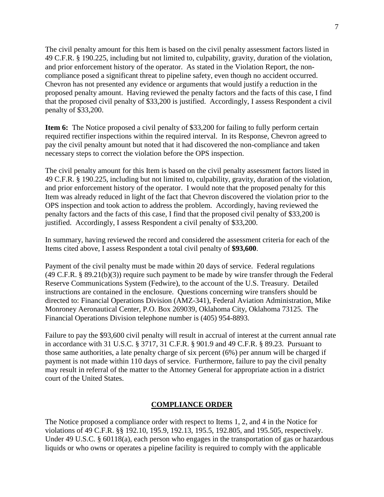The civil penalty amount for this Item is based on the civil penalty assessment factors listed in 49 C.F.R. § 190.225, including but not limited to, culpability, gravity, duration of the violation, and prior enforcement history of the operator. As stated in the Violation Report, the noncompliance posed a significant threat to pipeline safety, even though no accident occurred. Chevron has not presented any evidence or arguments that would justify a reduction in the proposed penalty amount. Having reviewed the penalty factors and the facts of this case, I find that the proposed civil penalty of \$33,200 is justified. Accordingly, I assess Respondent a civil penalty of \$33,200.

**Item 6:** The Notice proposed a civil penalty of \$33,200 for failing to fully perform certain required rectifier inspections within the required interval. In its Response, Chevron agreed to pay the civil penalty amount but noted that it had discovered the non-compliance and taken necessary steps to correct the violation before the OPS inspection.

The civil penalty amount for this Item is based on the civil penalty assessment factors listed in 49 C.F.R. § 190.225, including but not limited to, culpability, gravity, duration of the violation, and prior enforcement history of the operator. I would note that the proposed penalty for this Item was already reduced in light of the fact that Chevron discovered the violation prior to the OPS inspection and took action to address the problem. Accordingly, having reviewed the penalty factors and the facts of this case, I find that the proposed civil penalty of \$33,200 is justified. Accordingly, I assess Respondent a civil penalty of \$33,200.

In summary, having reviewed the record and considered the assessment criteria for each of the Items cited above, I assess Respondent a total civil penalty of **\$93,600**.

Payment of the civil penalty must be made within 20 days of service. Federal regulations (49 C.F.R. § 89.21(b)(3)) require such payment to be made by wire transfer through the Federal Reserve Communications System (Fedwire), to the account of the U.S. Treasury. Detailed instructions are contained in the enclosure. Questions concerning wire transfers should be directed to: Financial Operations Division (AMZ-341), Federal Aviation Administration, Mike Monroney Aeronautical Center, P.O. Box 269039, Oklahoma City, Oklahoma 73125. The Financial Operations Division telephone number is (405) 954-8893.

Failure to pay the \$93,600 civil penalty will result in accrual of interest at the current annual rate in accordance with 31 U.S.C. § 3717, 31 C.F.R. § 901.9 and 49 C.F.R. § 89.23. Pursuant to those same authorities, a late penalty charge of six percent (6%) per annum will be charged if payment is not made within 110 days of service. Furthermore, failure to pay the civil penalty may result in referral of the matter to the Attorney General for appropriate action in a district court of the United States.

# **COMPLIANCE ORDER**

The Notice proposed a compliance order with respect to Items 1, 2, and 4 in the Notice for violations of 49 C.F.R. §§ 192.10, 195.9, 192.13, 195.5, 192.805, and 195.505, respectively. Under 49 U.S.C. § 60118(a), each person who engages in the transportation of gas or hazardous liquids or who owns or operates a pipeline facility is required to comply with the applicable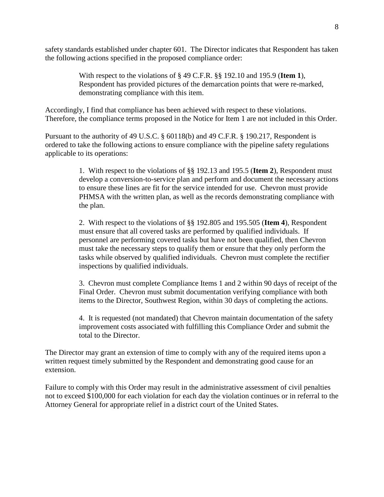safety standards established under chapter 601. The Director indicates that Respondent has taken the following actions specified in the proposed compliance order:

> With respect to the violations of § 49 C.F.R. §§ 192.10 and 195.9 (**Item 1**), Respondent has provided pictures of the demarcation points that were re-marked, demonstrating compliance with this item.

Accordingly, I find that compliance has been achieved with respect to these violations. Therefore, the compliance terms proposed in the Notice for Item 1 are not included in this Order.

Pursuant to the authority of 49 U.S.C. § 60118(b) and 49 C.F.R. § 190.217, Respondent is ordered to take the following actions to ensure compliance with the pipeline safety regulations applicable to its operations:

> 1. With respect to the violations of §§ 192.13 and 195.5 (**Item 2**), Respondent must develop a conversion-to-service plan and perform and document the necessary actions to ensure these lines are fit for the service intended for use. Chevron must provide PHMSA with the written plan, as well as the records demonstrating compliance with the plan.

2. With respect to the violations of §§ 192.805 and 195.505 (**Item 4**), Respondent must ensure that all covered tasks are performed by qualified individuals. If personnel are performing covered tasks but have not been qualified, then Chevron must take the necessary steps to qualify them or ensure that they only perform the tasks while observed by qualified individuals. Chevron must complete the rectifier inspections by qualified individuals.

3. Chevron must complete Compliance Items 1 and 2 within 90 days of receipt of the Final Order. Chevron must submit documentation verifying compliance with both items to the Director, Southwest Region, within 30 days of completing the actions.

4. It is requested (not mandated) that Chevron maintain documentation of the safety improvement costs associated with fulfilling this Compliance Order and submit the total to the Director.

The Director may grant an extension of time to comply with any of the required items upon a written request timely submitted by the Respondent and demonstrating good cause for an extension.

Failure to comply with this Order may result in the administrative assessment of civil penalties not to exceed \$100,000 for each violation for each day the violation continues or in referral to the Attorney General for appropriate relief in a district court of the United States.